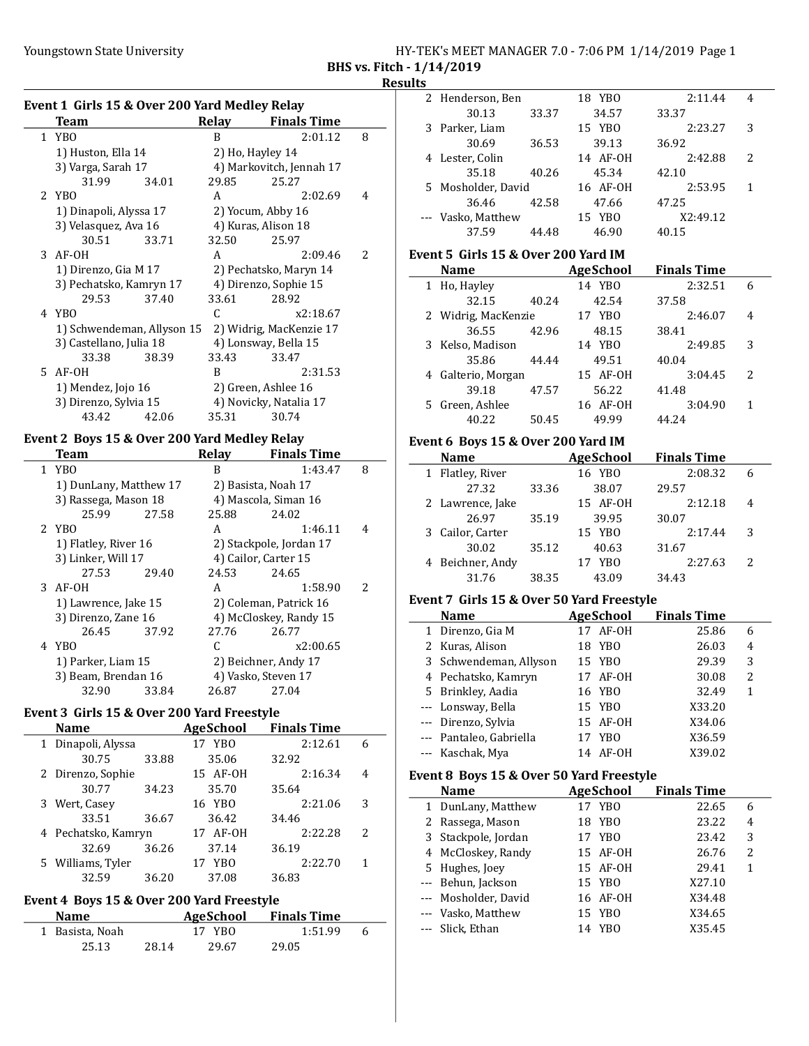| HY-TEK's MEET MANAGER 7.0 - 7:06 PM 1/14/2019 Page 1 |  |
|------------------------------------------------------|--|
| BHS vs. Fitch - 1/14/2019                            |  |

## Event 1 Girls 15 & Over 200 Yard Medley Relay

| Team                       |       | Relay | <b>Finals Time</b>       |   |
|----------------------------|-------|-------|--------------------------|---|
| 1 YBO                      |       | B     | 2:01.12                  | 8 |
| 1) Huston, Ella 14         |       |       | 2) Ho, Hayley 14         |   |
| 3) Varga, Sarah 17         |       |       | 4) Markovitch, Jennah 17 |   |
| 31.99                      | 34.01 | 29.85 | 25.27                    |   |
| 2 YBO                      |       | A     | 2:02.69                  | 4 |
| 1) Dinapoli, Alyssa 17     |       |       | 2) Yocum, Abby 16        |   |
| 3) Velasquez, Ava 16       |       |       | 4) Kuras, Alison 18      |   |
| 30.51                      | 33.71 | 32.50 | 25.97                    |   |
| $3$ AF-OH                  |       | A     | 2:09.46                  | 2 |
| 1) Direnzo, Gia M 17       |       |       | 2) Pechatsko, Maryn 14   |   |
| 3) Pechatsko, Kamryn 17    |       |       | 4) Direnzo, Sophie 15    |   |
| 29.53                      | 37.40 | 33.61 | 28.92                    |   |
| 4 YBO                      |       | C     | x2:18.67                 |   |
| 1) Schwendeman, Allyson 15 |       |       | 2) Widrig, MacKenzie 17  |   |
| 3) Castellano, Julia 18    |       |       | 4) Lonsway, Bella 15     |   |
| 33.38                      | 38.39 | 33.43 | 33.47                    |   |
| 5 AF-0H                    |       | B     | 2:31.53                  |   |
| 1) Mendez, Jojo 16         |       |       | 2) Green, Ashlee 16      |   |
| 3) Direnzo, Sylvia 15      |       |       | 4) Novicky, Natalia 17   |   |
| 43.42                      | 42.06 | 35.31 | 30.74                    |   |

#### Event 2 Boys 15 & Over 200 Yard Medley Relay

| Team                   |       | Relav | <b>Finals Time</b>      |                          |
|------------------------|-------|-------|-------------------------|--------------------------|
| 1 YBO                  |       | B     | 1:43.47                 | 8                        |
| 1) DunLany, Matthew 17 |       |       | 2) Basista, Noah 17     |                          |
| 3) Rassega, Mason 18   |       |       | 4) Mascola, Siman 16    |                          |
| 25.99                  | 27.58 | 25.88 | 24.02                   |                          |
| 2 YBO                  |       | A     | 1:46.11                 | 4                        |
| 1) Flatley, River 16   |       |       | 2) Stackpole, Jordan 17 |                          |
| 3) Linker, Will 17     |       |       | 4) Cailor, Carter 15    |                          |
| 27.53                  | 29.40 | 24.53 | 24.65                   |                          |
| $3$ AF-OH              |       | A     | 1:58.90                 | $\overline{\mathcal{L}}$ |
| 1) Lawrence, Jake 15   |       |       | 2) Coleman, Patrick 16  |                          |
| 3) Direnzo, Zane 16    |       |       | 4) McCloskey, Randy 15  |                          |
| 26.45                  | 37.92 | 27.76 | 26.77                   |                          |
| 4 YBO                  |       | C     | x2:00.65                |                          |
| 1) Parker, Liam 15     |       |       | 2) Beichner, Andy 17    |                          |
| 3) Beam, Brendan 16    |       |       | 4) Vasko, Steven 17     |                          |
| 32.90                  | 33.84 | 26.87 | 27.04                   |                          |

# Event 3 Girls 15 & Over 200 Yard Freestyle

|   | <b>Name</b>         |       | <b>AgeSchool</b>      | <b>Finals Time</b> |   |
|---|---------------------|-------|-----------------------|--------------------|---|
| 1 | Dinapoli, Alyssa    |       | 17 YBO                | 2:12.61            | 6 |
|   | 30.75               | 33.88 | 35.06                 | 32.92              |   |
|   | 2 Direnzo, Sophie   |       | 15 AF-0H              | 2:16.34            | 4 |
|   | 30.77               | 34.23 | 35.70                 | 35.64              |   |
|   | 3 Wert, Casey       |       | 16 YBO                | 2:21.06            | 3 |
|   | 33.51               | 36.67 | 36.42                 | 34.46              |   |
|   | 4 Pechatsko, Kamryn |       | 17 AF-0H              | 2:22.28            | 2 |
|   | 32.69               | 36.26 | 37.14                 | 36.19              |   |
|   | 5 Williams, Tyler   |       | YB <sub>0</sub><br>17 | 2:22.70            | 1 |
|   | 32.59               | 36.20 | 37.08                 | 36.83              |   |
|   |                     |       |                       |                    |   |

#### Event 4 Boys 15 & Over 200 Yard Freestyle

| <b>Name</b>     |       | AgeSchool | <b>Finals Time</b> |   |
|-----------------|-------|-----------|--------------------|---|
| 1 Basista, Noah |       | 17 YBO    | 1:51.99            | 6 |
| 25.13           | 28.14 | 29.67     | 29.05              |   |

| 2 Henderson, Ben   |       | 18 YBO   | 2:11.44  | 4 |  |
|--------------------|-------|----------|----------|---|--|
| 30.13              | 33.37 | 34.57    | 33.37    |   |  |
| 3 Parker, Liam     |       | 15 YBO   | 2:23.27  | 3 |  |
| 30.69              | 36.53 | 39.13    | 36.92    |   |  |
| 4 Lester, Colin    |       | 14 AF-0H | 2:42.88  | 2 |  |
| 35.18              | 40.26 | 45.34    | 42.10    |   |  |
| 5 Mosholder, David |       | 16 AF-0H | 2:53.95  |   |  |
| 36.46              | 42.58 | 47.66    | 47.25    |   |  |
| --- Vasko, Matthew |       | 15 YBO   | X2:49.12 |   |  |
| 37.59              | 44.48 | 46.90    | 40.15    |   |  |
|                    |       |          |          |   |  |

#### Event 5 Girls 15 & Over 200 Yard IM

| <b>Name</b>         |       | AgeSchool | <b>Finals Time</b> |                          |
|---------------------|-------|-----------|--------------------|--------------------------|
| 1 Ho, Hayley        |       | 14 YBO    | 2:32.51            | 6                        |
| 32.15               | 40.24 | 42.54     | 37.58              |                          |
| 2 Widrig, MacKenzie |       | 17 YBO    | 2:46.07            | 4                        |
| 36.55               | 42.96 | 48.15     | 38.41              |                          |
| 3 Kelso, Madison    |       | 14 YBO    | 2:49.85            | 3                        |
| 35.86               | 44.44 | 49.51     | 40.04              |                          |
| 4 Galterio, Morgan  |       | 15 AF-0H  | 3:04.45            | $\overline{\mathcal{L}}$ |
| 39.18               | 47.57 | 56.22     | 41.48              |                          |
| 5 Green, Ashlee     |       | 16 AF-0H  | 3:04.90            | 1                        |
| 40.22               | 50.45 | 49.99     | 44 24              |                          |

## Event 6 Boys 15 & Over 200 Yard IM

| <b>Name</b>      |       | <b>AgeSchool</b> | <b>Finals Time</b> |               |
|------------------|-------|------------------|--------------------|---------------|
| 1 Flatley, River |       | 16 YBO           | 2:08.32            | 6             |
| 27.32            | 33.36 | 38.07            | 29.57              |               |
| 2 Lawrence, Jake |       | 15 AF-0H         | 2:12.18            | 4             |
| 26.97            | 35.19 | 39.95            | 30.07              |               |
| 3 Cailor, Carter |       | 15 YBO           | 2:17.44            | 3             |
| 30.02            | 35.12 | 40.63            | 31.67              |               |
| 4 Beichner, Andy |       | YB <sub>0</sub>  | 2:27.63            | $\mathcal{L}$ |
| 31.76            | 38.35 | 43.09            | 34.43              |               |

#### Event 7 Girls 15 & Over 50 Yard Freestyle

| <b>Name</b>             |    | <b>AgeSchool</b> | <b>Finals Time</b> |                |
|-------------------------|----|------------------|--------------------|----------------|
| 1 Direnzo, Gia M        |    | 17 AF-0H         | 25.86              | 6              |
| 2 Kuras, Alison         | 18 | YBO              | 26.03              | $\overline{4}$ |
| 3 Schwendeman, Allyson  |    | 15 YBO           | 29.39              | 3              |
| 4 Pechatsko, Kamryn     |    | 17 AF-0H         | 30.08              | 2              |
| 5 Brinkley, Aadia       |    | 16 YBO           | 32.49              | 1              |
| --- Lonsway, Bella      |    | 15 YBO           | X33.20             |                |
| --- Direnzo, Sylvia     |    | 15 AF-0H         | X34.06             |                |
| --- Pantaleo, Gabriella | 17 | YBO              | X36.59             |                |
| --- Kaschak, Mya        | 14 | AF-OH            | X39.02             |                |

#### Event 8 Boys 15 & Over 50 Yard Freestyle

|  | <b>Name</b>          |    | <b>AgeSchool</b> | <b>Finals Time</b> |   |  |  |
|--|----------------------|----|------------------|--------------------|---|--|--|
|  | 1 DunLany, Matthew   |    | 17 YBO           | 22.65              | 6 |  |  |
|  | 2 Rassega, Mason     |    | 18 YBO           | 23.22              | 4 |  |  |
|  | 3 Stackpole, Jordan  |    | 17 YBO           | 23.42              | 3 |  |  |
|  | 4 McCloskey, Randy   |    | 15 AF-0H         | 26.76              | 2 |  |  |
|  | 5 Hughes, Joev       |    | 15 AF-0H         | 29.41              | 1 |  |  |
|  | --- Behun, Jackson   |    | 15 YBO           | X27.10             |   |  |  |
|  | --- Mosholder, David |    | 16 AF-0H         | X34.48             |   |  |  |
|  | --- Vasko, Matthew   |    | 15 YBO           | X34.65             |   |  |  |
|  | --- Slick, Ethan     | 14 | YBO              | X35.45             |   |  |  |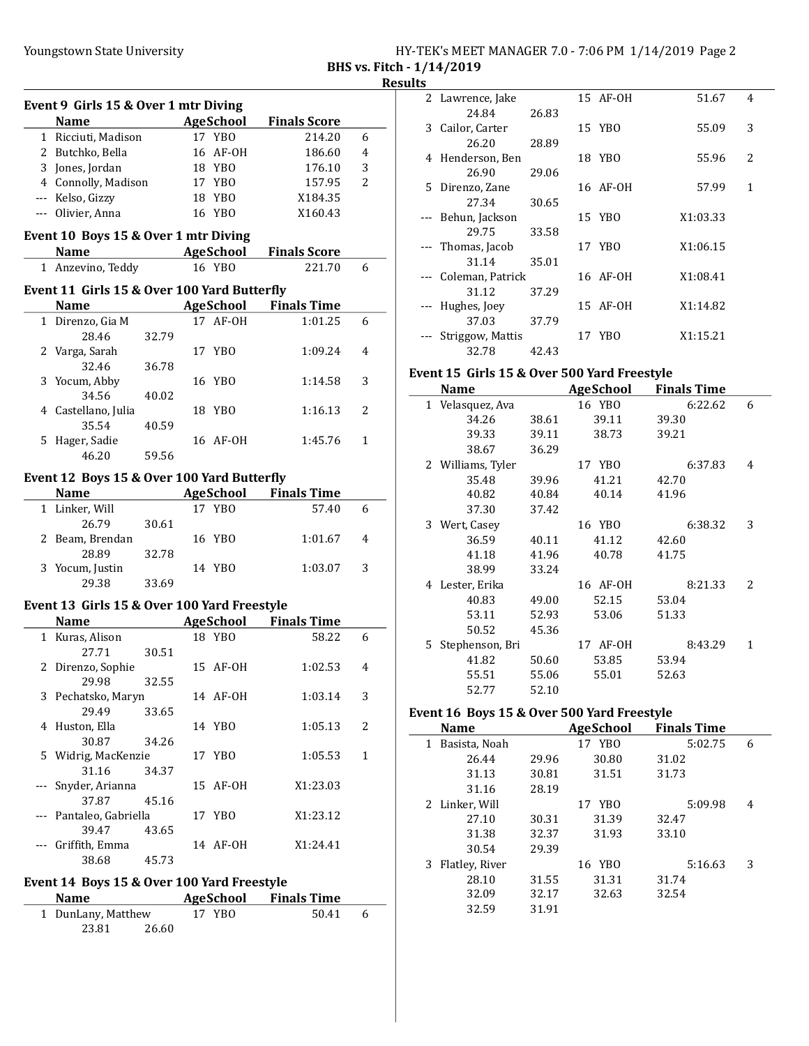|                           | HY-TEK's MEET MANAGER 7.0 - 7:06 PM 1/14/2019 Page 2 |  |  |  |
|---------------------------|------------------------------------------------------|--|--|--|
| BHS vs. Fitch - 1/14/2019 |                                                      |  |  |  |

|          | Event 9 Girls 15 & Over 1 mtr Diving        |       |                  |                              |   |
|----------|---------------------------------------------|-------|------------------|------------------------------|---|
|          | <b>Name</b>                                 |       | AgeSchool        | <b>Finals Score</b>          |   |
|          | 1 Ricciuti, Madison                         |       | 17 YBO           | 214.20                       | 6 |
|          | 2 Butchko, Bella                            |       | 16 AF-0H         | 186.60                       | 4 |
|          | 3 Jones, Jordan                             |       | 18 YBO           | 176.10                       | 3 |
|          | 4 Connolly, Madison                         |       | 17 YBO           | 157.95                       | 2 |
|          | --- Kelso, Gizzy                            |       | 18 YBO           | X184.35                      |   |
|          | --- Olivier, Anna                           |       | 16 YBO           | X160.43                      |   |
|          |                                             |       |                  |                              |   |
|          | Event 10 Boys 15 & Over 1 mtr Diving        |       |                  |                              |   |
|          | <b>Example 2</b> AgeSchool<br>Name          |       |                  | <b>Finals Score</b>          |   |
|          | 1 Anzevino, Teddy                           |       | 16 YBO           | 221.70                       | 6 |
|          | Event 11 Girls 15 & Over 100 Yard Butterfly |       |                  |                              |   |
|          | <b>Name</b>                                 |       |                  | <b>AgeSchool</b> Finals Time |   |
|          |                                             |       | 17 AF-0H         |                              |   |
|          | 1 Direnzo, Gia M                            |       |                  | 1:01.25                      | 6 |
|          | 28.46                                       | 32.79 |                  |                              |   |
|          | 2 Varga, Sarah                              |       | 17 YBO           | 1:09.24                      | 4 |
|          | 32.46                                       | 36.78 |                  |                              |   |
| 3        | Yocum, Abby                                 |       | 16 YBO           | 1:14.58                      | 3 |
|          | 34.56                                       | 40.02 |                  |                              |   |
|          | 4 Castellano, Julia                         |       | 18 YBO           | 1:16.13                      | 2 |
|          | 35.54                                       | 40.59 |                  |                              |   |
|          | 5 Hager, Sadie                              |       | 16 AF-0H         | 1:45.76                      | 1 |
|          | 46.20                                       | 59.56 |                  |                              |   |
|          | Event 12 Boys 15 & Over 100 Yard Butterfly  |       |                  |                              |   |
|          | Name                                        |       |                  | <b>AgeSchool</b> Finals Time |   |
|          | 1 Linker, Will                              |       | 17 YBO           | 57.40                        | 6 |
|          | 26.79                                       | 30.61 |                  |                              |   |
|          | 2 Beam, Brendan                             |       | 16 YBO           | 1:01.67                      | 4 |
|          | 28.89                                       | 32.78 |                  |                              |   |
|          | 3 Yocum, Justin                             |       | 14 YBO           | 1:03.07                      | 3 |
|          | 29.38                                       | 33.69 |                  |                              |   |
|          |                                             |       |                  |                              |   |
|          | Event 13 Girls 15 & Over 100 Yard Freestyle |       |                  |                              |   |
|          | <b>Name</b>                                 |       | AgeSchool        | <b>Finals Time</b>           |   |
|          | 1 Kuras, Alison                             |       | 18 YBO           | 58.22                        | 6 |
|          | 27.71                                       | 30.51 |                  |                              |   |
| 2        | Direnzo, Sophie                             |       | 15 AF-OH         | 1:02.53                      | 4 |
|          | 29.98                                       | 32.55 |                  |                              |   |
| 3        | Pechatsko, Maryn                            |       | 14 AF-0H         | 1:03.14                      | 3 |
|          | 29.49                                       | 33.65 |                  |                              |   |
| 4        | Huston, Ella                                |       | 14 YBO           | 1:05.13                      | 2 |
|          | 30.87                                       | 34.26 |                  |                              |   |
| 5.       | Widrig, MacKenzie                           |       | 17 YBO           | 1:05.53                      | 1 |
|          | 31.16                                       | 34.37 |                  |                              |   |
| ---      | Snyder, Arianna                             |       | 15 AF-OH         | X1:23.03                     |   |
|          | 37.87                                       | 45.16 |                  |                              |   |
| $\cdots$ | Pantaleo, Gabriella                         |       | 17 YBO           | X1:23.12                     |   |
|          | 39.47                                       | 43.65 |                  |                              |   |
|          | --- Griffith, Emma                          |       | 14 AF-0H         | X1:24.41                     |   |
|          | 38.68                                       | 45.73 |                  |                              |   |
|          |                                             |       |                  |                              |   |
|          | Event 14 Boys 15 & Over 100 Yard Freestyle  |       |                  |                              |   |
|          | Name                                        |       | <b>AgeSchool</b> | <b>Finals Time</b>           |   |

| --------           |       |        |       |  |
|--------------------|-------|--------|-------|--|
| 1 DunLany, Matthew |       | 17 YBO | 50.41 |  |
| 23.81              | 26.60 |        |       |  |

| LЭ |                  |       |          |          |   |
|----|------------------|-------|----------|----------|---|
|    | 2 Lawrence, Jake |       | 15 AF-0H | 51.67    | 4 |
|    | 24.84            | 26.83 |          |          |   |
| 3  | Cailor, Carter   |       | 15 YBO   | 55.09    | 3 |
|    | 26.20            | 28.89 |          |          |   |
| 4  | Henderson, Ben   |       | 18 YBO   | 55.96    | 2 |
|    | 26.90            | 29.06 |          |          |   |
| 5. | Direnzo, Zane    |       | 16 AF-0H | 57.99    | 1 |
|    | 27.34            | 30.65 |          |          |   |
|    | Behun, Jackson   |       | 15 YBO   | X1:03.33 |   |
|    | 29.75            | 33.58 |          |          |   |
|    | Thomas, Jacob    |       | 17 YBO   | X1:06.15 |   |
|    | 31.14            | 35.01 |          |          |   |
|    | Coleman, Patrick |       | 16 AF-0H | X1:08.41 |   |
|    | 31.12            | 37.29 |          |          |   |
|    | Hughes, Joey     |       | 15 AF-0H | X1:14.82 |   |
|    | 37.03            | 37.79 |          |          |   |
|    | Striggow, Mattis |       | 17 YBO   | X1:15.21 |   |
|    | 32.78            | 42.43 |          |          |   |

# Event 15 Girls 15 & Over 500 Yard Freestyle

| <b>Name</b>           |       | <b>AgeSchool</b> | <b>Finals Time</b> |   |
|-----------------------|-------|------------------|--------------------|---|
| 1 Velasquez, Ava      |       | 16 YBO           | 6:22.62            | 6 |
| 34.26                 | 38.61 | 39.11            | 39.30              |   |
| 39.33                 | 39.11 | 38.73            | 39.21              |   |
| 38.67                 | 36.29 |                  |                    |   |
| 2 Williams, Tyler     |       | 17 YBO           | 6:37.83            | 4 |
| 35.48                 | 39.96 | 41.21            | 42.70              |   |
| 40.82                 | 40.84 | 40.14            | 41.96              |   |
| 37.30                 | 37.42 |                  |                    |   |
| 3 Wert, Casey         |       | 16 YBO           | 6:38.32            | 3 |
| 36.59                 | 40.11 | 41.12            | 42.60              |   |
| 41.18                 | 41.96 | 40.78            | 41.75              |   |
| 38.99                 | 33.24 |                  |                    |   |
| 4 Lester, Erika       |       | 16 AF-0H         | 8:21.33            | 2 |
| 40.83                 | 49.00 | 52.15            | 53.04              |   |
| 53.11                 | 52.93 | 53.06            | 51.33              |   |
| 50.52                 | 45.36 |                  |                    |   |
| Stephenson, Bri<br>5. |       | AF-OH<br>17      | 8:43.29            | 1 |
| 41.82                 | 50.60 | 53.85            | 53.94              |   |
| 55.51                 | 55.06 | 55.01            | 52.63              |   |
| 52.77                 | 52.10 |                  |                    |   |

## Event 16 Boys 15 & Over 500 Yard Freestyle

| <b>Name</b>          |       | AgeSchool | <b>Finals Time</b> |   |
|----------------------|-------|-----------|--------------------|---|
| Basista, Noah<br>1   |       | 17 YBO    | 5:02.75            | 6 |
| 26.44                | 29.96 | 30.80     | 31.02              |   |
| 31.13                | 30.81 | 31.51     | 31.73              |   |
| 31.16                | 28.19 |           |                    |   |
| 2 Linker, Will       |       | 17 YBO    | 5:09.98            | 4 |
| 27.10                | 30.31 | 31.39     | 32.47              |   |
| 31.38                | 32.37 | 31.93     | 33.10              |   |
| 30.54                | 29.39 |           |                    |   |
| Flatley, River<br>3. |       | 16 YBO    | 5:16.63            | 3 |
| 28.10                | 31.55 | 31.31     | 31.74              |   |
| 32.09                | 32.17 | 32.63     | 32.54              |   |
| 32.59                | 31.91 |           |                    |   |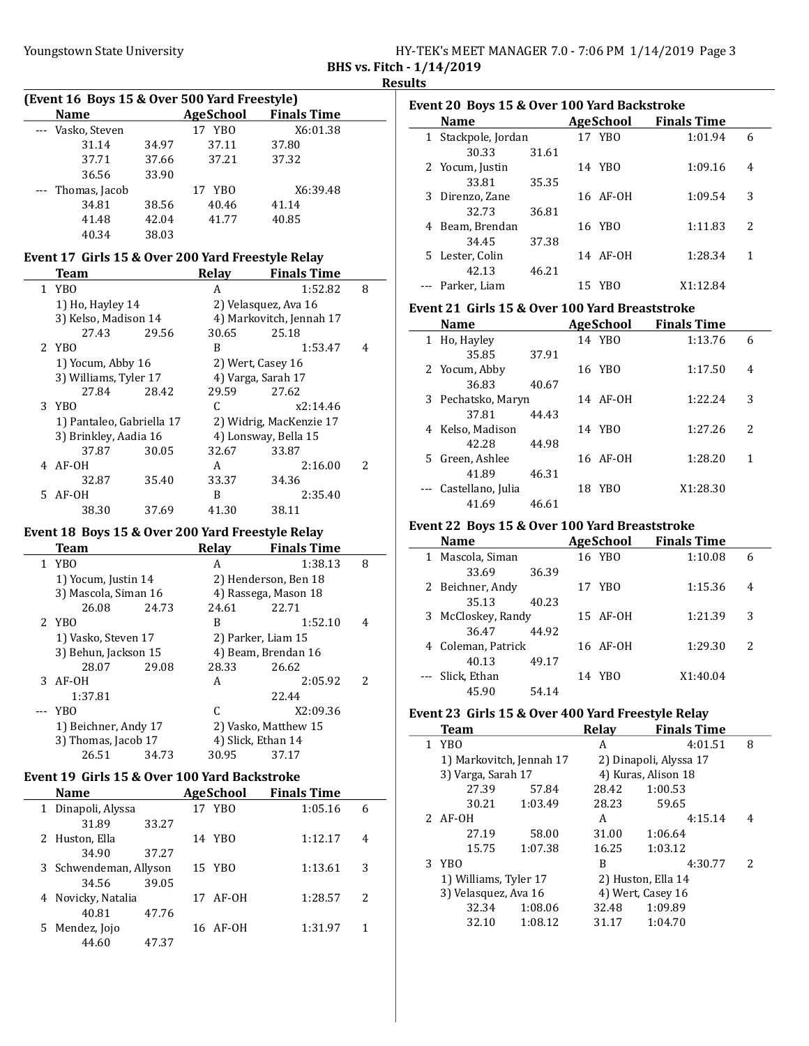|                           | HY-TEK's MEET MANAGER 7.0 - 7:06 PM 1/14/2019 Page 3 |  |  |
|---------------------------|------------------------------------------------------|--|--|
| BHS vs. Fitch - 1/14/2019 |                                                      |  |  |

| (Event 16 Boys 15 & Over 500 Yard Freestyle) |       |                  |                    |  |  |  |  |
|----------------------------------------------|-------|------------------|--------------------|--|--|--|--|
| <b>Name</b>                                  |       | <b>AgeSchool</b> | <b>Finals Time</b> |  |  |  |  |
| --- Vasko, Steven                            |       | 17 YBO           | X6:01.38           |  |  |  |  |
| 31.14                                        | 34.97 | 37.11            | 37.80              |  |  |  |  |
| 37.71                                        | 37.66 | 37.21            | 37.32              |  |  |  |  |
| 36.56                                        | 33.90 |                  |                    |  |  |  |  |
| --- Thomas, Jacob                            |       | 17 YBO           | X6:39.48           |  |  |  |  |
| 34.81                                        | 38.56 | 40.46            | 41.14              |  |  |  |  |
| 41.48                                        | 42.04 | 41.77            | 40.85              |  |  |  |  |
| 40.34                                        | 38.03 |                  |                    |  |  |  |  |

## Event 17 Girls 15 & Over 200 Yard Freestyle Relay

| Team                      |       | Relay | <b>Finals Time</b>       |                          |
|---------------------------|-------|-------|--------------------------|--------------------------|
| 1 YBO                     |       | A     | 1:52.82                  | 8                        |
| 1) Ho, Hayley 14          |       |       | 2) Velasquez, Ava 16     |                          |
| 3) Kelso, Madison 14      |       |       | 4) Markovitch, Jennah 17 |                          |
| 27.43                     | 29.56 | 30.65 | 25.18                    |                          |
| 2 YBO                     |       | B     | 1:53.47                  | 4                        |
| 1) Yocum, Abby 16         |       |       | 2) Wert, Casey 16        |                          |
| 3) Williams, Tyler 17     |       |       | 4) Varga, Sarah 17       |                          |
| 27.84                     | 28.42 | 29.59 | 27.62                    |                          |
| 3 YBO                     |       | C     | x2:14.46                 |                          |
| 1) Pantaleo, Gabriella 17 |       |       | 2) Widrig, MacKenzie 17  |                          |
| 3) Brinkley, Aadia 16     |       |       | 4) Lonsway, Bella 15     |                          |
| 37.87                     | 30.05 | 32.67 | 33.87                    |                          |
| 4 AF-OH                   |       | A     | 2:16.00                  | $\overline{\mathcal{L}}$ |
| 32.87                     | 35.40 | 33.37 | 34.36                    |                          |
| 5 AF-0H                   |       | B     | 2:35.40                  |                          |
| 38.30                     | 37.69 | 41.30 | 38.11                    |                          |

## Event 18 Boys 15 & Over 200 Yard Freestyle Relay

| Team                 |       | <b>Relav</b>        | <b>Finals Time</b>   |                          |
|----------------------|-------|---------------------|----------------------|--------------------------|
| 1 YBO                |       | А                   | 1:38.13              | 8                        |
| 1) Yocum, Justin 14  |       |                     | 2) Henderson, Ben 18 |                          |
| 3) Mascola, Siman 16 |       |                     | 4) Rassega, Mason 18 |                          |
| 26.08                | 24.73 | 24.61               | 22.71                |                          |
| 2 YBO                |       | B                   | 1:52.10              | 4                        |
| 1) Vasko, Steven 17  |       |                     | 2) Parker, Liam 15   |                          |
| 3) Behun, Jackson 15 |       | 4) Beam, Brendan 16 |                      |                          |
| 28.07                | 29.08 | 28.33               | 26.62                |                          |
| $3$ AF-OH            |       | A                   | 2:05.92              | $\overline{\mathcal{L}}$ |
| 1:37.81              |       |                     | 22.44                |                          |
| YBO                  |       | C                   | X2:09.36             |                          |
| 1) Beichner, Andy 17 |       |                     | 2) Vasko, Matthew 15 |                          |
| 3) Thomas, Jacob 17  |       |                     | 4) Slick, Ethan 14   |                          |
| 26.51                | 34.73 | 30.95               | 37.17                |                          |
|                      |       |                     |                      |                          |

## Event 19 Girls 15 & Over 100 Yard Backstroke

|   | <b>Name</b>            |       | <b>AgeSchool</b> | <b>Finals Time</b> |   |
|---|------------------------|-------|------------------|--------------------|---|
| 1 | Dinapoli, Alyssa       |       | 17 YBO           | 1:05.16            | 6 |
|   | 31.89                  | 33.27 |                  |                    |   |
|   | 2 Huston, Ella         |       | 14 YBO           | 1:12.17            | 4 |
|   | 34.90                  | 37.27 |                  |                    |   |
|   | 3 Schwendeman, Allyson |       | 15 YBO           | 1:13.61            | 3 |
|   | 34.56                  | 39.05 |                  |                    |   |
|   | 4 Novicky, Natalia     |       | 17 AF-0H         | 1:28.57            | 2 |
|   | 40.81                  | 47.76 |                  |                    |   |
| 5 | Mendez, Jojo           |       | 16 AF-0H         | 1:31.97            | 1 |
|   | 44.60                  | 47.37 |                  |                    |   |

|   | Event 20 Boys 15 & Over 100 Yard Backstroke |       |    |           |                    |                          |  |  |  |
|---|---------------------------------------------|-------|----|-----------|--------------------|--------------------------|--|--|--|
|   | <b>Name</b>                                 |       |    | AgeSchool | <b>Finals Time</b> |                          |  |  |  |
|   | 1 Stackpole, Jordan                         |       |    | 17 YBO    | 1:01.94            | 6                        |  |  |  |
|   | 30.33                                       | 31.61 |    |           |                    |                          |  |  |  |
|   | 2 Yocum, Justin                             |       |    | 14 YBO    | 1:09.16            | 4                        |  |  |  |
|   | 33.81                                       | 35.35 |    |           |                    |                          |  |  |  |
|   | 3 Direnzo, Zane                             |       |    | 16 AF-0H  | 1:09.54            | 3                        |  |  |  |
|   | 32.73                                       | 36.81 |    |           |                    |                          |  |  |  |
| 4 | Beam, Brendan                               |       |    | 16 YBO    | 1:11.83            | $\overline{\mathcal{L}}$ |  |  |  |
|   | 34.45                                       | 37.38 |    |           |                    |                          |  |  |  |
|   | 5 Lester, Colin                             |       |    | 14 AF-0H  | 1:28.34            | 1                        |  |  |  |
|   | 42.13                                       | 46.21 |    |           |                    |                          |  |  |  |
|   | Parker, Liam                                |       | 15 | YBO       | X1:12.84           |                          |  |  |  |

#### Event 21 Girls 15 & Over 100 Yard Breaststroke

| <b>Name</b>           |       |    | AgeSchool | <b>Finals Time</b> |   |
|-----------------------|-------|----|-----------|--------------------|---|
| 1 Ho, Hayley          |       |    | 14 YBO    | 1:13.76            | 6 |
| 35.85                 | 37.91 |    |           |                    |   |
| 2 Yocum, Abby         |       |    | 16 YBO    | 1:17.50            | 4 |
| 36.83                 | 40.67 |    |           |                    |   |
| 3 Pechatsko, Maryn    |       |    | 14 AF-0H  | 1:22.24            | 3 |
| 37.81                 | 44.43 |    |           |                    |   |
| 4 Kelso, Madison      |       |    | 14 YBO    | 1:27.26            | 2 |
| 42.28                 | 44.98 |    |           |                    |   |
| 5 Green, Ashlee       |       |    | 16 AF-0H  | 1:28.20            | 1 |
| 41.89                 | 46.31 |    |           |                    |   |
| --- Castellano, Julia |       | 18 | YBO       | X1:28.30           |   |
| 41.69                 | 46.61 |    |           |                    |   |

## Event 22 Boys 15 & Over 100 Yard Breaststroke

| Name               |                    |       |    | <b>AgeSchool</b> | <b>Finals Time</b> |         |   |
|--------------------|--------------------|-------|----|------------------|--------------------|---------|---|
| 1 Mascola, Siman   |                    |       |    | 16 YBO           |                    | 1:10.08 | 6 |
|                    | 33.69              | 36.39 |    |                  |                    |         |   |
| 2 Beichner, Andy   |                    |       |    | 17 YBO           |                    | 1:15.36 | 4 |
|                    | 35.13              | 40.23 |    |                  |                    |         |   |
|                    | 3 McCloskey, Randy |       |    | 15 AF-0H         |                    | 1:21.39 | 3 |
|                    | 36.47              | 44.92 |    |                  |                    |         |   |
| 4 Coleman, Patrick |                    |       |    | 16 AF-0H         |                    | 1:29.30 | 2 |
|                    | 40.13              | 49.17 |    |                  |                    |         |   |
| Slick, Ethan       |                    |       | 14 | YBO              | X1:40.04           |         |   |
|                    | 45.90              | 54.14 |    |                  |                    |         |   |

## Event 23 Girls 15 & Over 400 Yard Freestyle Relay

|  | <b>Team</b>                                   |         | Relav                  | <b>Finals Time</b> |   |
|--|-----------------------------------------------|---------|------------------------|--------------------|---|
|  | 1 YBO                                         |         | А                      | 4:01.51            | 8 |
|  | 1) Markovitch, Jennah 17                      |         | 2) Dinapoli, Alyssa 17 |                    |   |
|  | 3) Varga, Sarah 17                            |         | 4) Kuras, Alison 18    |                    |   |
|  | 27.39                                         | 57.84   | 28.42                  | 1:00.53            |   |
|  | 30.21                                         | 1:03.49 | 28.23                  | 59.65              |   |
|  | $2$ AF-OH                                     |         | А                      | 4:15.14            | 4 |
|  | 27.19                                         | 58.00   | 31.00                  | 1:06.64            |   |
|  | 15.75                                         | 1:07.38 | 16.25                  | 1:03.12            |   |
|  | 3 YBO                                         |         | B                      | 4:30.77            | 2 |
|  | 1) Williams, Tyler 17<br>3) Velasquez, Ava 16 |         | 2) Huston, Ella 14     |                    |   |
|  |                                               |         | 4) Wert, Casey 16      |                    |   |
|  | 32.34                                         | 1:08.06 | 32.48                  | 1:09.89            |   |
|  | 32.10                                         | 1:08.12 | 31.17                  | 1:04.70            |   |